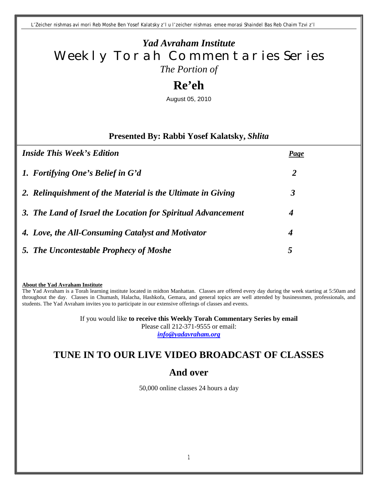*L'Zeicher nishmas avi mori Reb Moshe Ben Yosef Kalatsky z'l u l'zeicher nishmas emee morasi Shaindel Bas Reb Chaim Tzvi z'l*

## *Yad Avraham Institute* Weekly Torah Commentaries Series *The Portion of*

# **Re'eh**

August 05, 2010

#### **Presented By: Rabbi Yosef Kalatsky,** *Shlita*

| <i>Inside This Week's Edition</i>                            | Page                 |
|--------------------------------------------------------------|----------------------|
| 1. Fortifying One's Belief in G'd                            | 2                    |
| 2. Relinguishment of the Material is the Ultimate in Giving  | $\boldsymbol{\beta}$ |
| 3. The Land of Israel the Location for Spiritual Advancement | 4                    |
| 4. Love, the All-Consuming Catalyst and Motivator            | 4                    |
| 5. The Uncontestable Prophecy of Moshe                       | $\mathfrak{c}$       |

**About the Yad Avraham Institute**

The Yad Avraham is a Torah learning institute located in midton Manhattan. Classes are offered every day during the week starting at 5:50am and throughout the day. Classes in Chumash, Halacha, Hashkofa, Gemara, and general topics are well attended by businessmen, professionals, and students. The Yad Avraham invites you to participate in our extensive offerings of classes and events.

> If you would like **to receive this Weekly Torah Commentary Series by email** Please call 212-371-9555 or email: *info@yadavraham.org*

## **TUNE IN TO OUR LIVE VIDEO BROADCAST OF CLASSES**

## **And over**

50,000 online classes 24 hours a day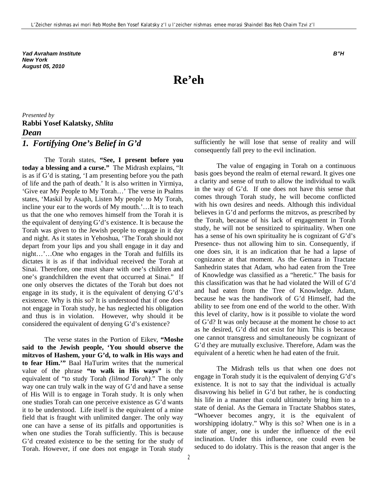*Yad Avraham Institute B"H New York August 05, 2010*

**Re'eh**

#### *Presented by* **Rabbi Yosef Kalatsky,** *Shlita Dean*

### *1. Fortifying One's Belief in G'd*

The Torah states, **"See, I present before you today a blessing and a curse."** The Midrash explains, "It is as if G'd is stating, 'I am presenting before you the path of life and the path of death.' It is also written in Yirmiya, 'Give ear My People to My Torah…' The verse in Psalms states, 'Maskil by Asaph, Listen My people to My Torah, incline your ear to the words of My mouth.'…It is to teach us that the one who removes himself from the Torah it is the equivalent of denying G'd's existence. It is because the Torah was given to the Jewish people to engage in it day and night. As it states in Yehoshua, 'The Torah should not depart from your lips and you shall engage in it day and night…'…One who engages in the Torah and fulfills its dictates it is as if that individual received the Torah at Sinai. Therefore, one must share with one's children and one's grandchildren the event that occurred at Sinai." If one only observes the dictates of the Torah but does not engage in its study, it is the equivalent of denying G'd's existence. Why is this so? It is understood that if one does not engage in Torah study, he has neglected his obligation and thus is in violation. However, why should it be considered the equivalent of denying G'd's existence?

The verse states in the Portion of Eikev, **"Moshe said to the Jewish people, 'You should observe the mitzvos of Hashem, your G'd, to walk in His ways and to fear Him.'"** Baal HaTurim writes that the numerical value of the phrase **"to walk in His ways"** is the equivalent of "to study Torah *(lilmod Torah)*." The only way one can truly walk in the way of G'd and have a sense of His Will is to engage in Torah study. It is only when one studies Torah can one perceive existence as G'd wants it to be understood. Life itself is the equivalent of a mine field that is fraught with unlimited danger. The only way one can have a sense of its pitfalls and opportunities is when one studies the Torah sufficiently. This is because G'd created existence to be the setting for the study of Torah. However, if one does not engage in Torah study

consequently fall prey to the evil inclination. The value of engaging in Torah on a continuous

sufficiently he will lose that sense of reality and will

basis goes beyond the realm of eternal reward. It gives one a clarity and sense of truth to allow the individual to walk in the way of G'd. If one does not have this sense that comes through Torah study, he will become conflicted with his own desires and needs. Although this individual believes in G'd and performs the mitzvos, as prescribed by the Torah, because of his lack of engagement in Torah study, he will not be sensitized to spirituality. When one has a sense of his own spirituality he is cognizant of G'd's Presence- thus not allowing him to sin. Consequently, if one does sin, it is an indication that he had a lapse of cognizance at that moment. As the Gemara in Tractate Sanhedrin states that Adam, who had eaten from the Tree of Knowledge was classified as a "heretic." The basis for this classification was that he had violated the Will of G'd and had eaten from the Tree of Knowledge. Adam, because he was the handiwork of G'd Himself, had the ability to see from one end of the world to the other. With this level of clarity, how is it possible to violate the word of G'd? It was only because at the moment he chose to act as he desired, G'd did not exist for him. This is because one cannot transgress and simultaneously be cognizant of G'd they are mutually exclusive. Therefore, Adam was the equivalent of a heretic when he had eaten of the fruit.

The Midrash tells us that when one does not engage in Torah study it is the equivalent of denying G'd's existence. It is not to say that the individual is actually disavowing his belief in G'd but rather, he is conducting his life in a manner that could ultimately bring him to a state of denial. As the Gemara in Tractate Shabbos states, "Whoever becomes angry, it is the equivalent of worshipping idolatry." Why is this so? When one is in a state of anger, one is under the influence of the evil inclination. Under this influence, one could even be seduced to do idolatry. This is the reason that anger is the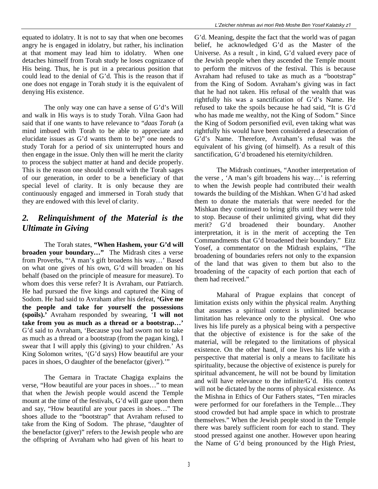equated to idolatry. It is not to say that when one becomes angry he is engaged in idolatry, but rather, his inclination at that moment may lead him to idolatry. When one detaches himself from Torah study he loses cognizance of His being. Thus, he is put in a precarious position that could lead to the denial of G'd. This is the reason that if one does not engage in Torah study it is the equivalent of denying His existence.

The only way one can have a sense of G'd's Will and walk in His ways is to study Torah. Vilna Gaon had said that if one wants to have relevance to "*daas Torah* (a mind imbued with Torah to be able to appreciate and elucidate issues as G'd wants them to be)" one needs to study Torah for a period of six uninterrupted hours and then engage in the issue. Only then will he merit the clarity to process the subject matter at hand and decide properly. This is the reason one should consult with the Torah sages of our generation, in order to be a beneficiary of that special level of clarity. It is only because they are continuously engaged and immersed in Torah study that they are endowed with this level of clarity.

#### *2. Relinquishment of the Material is the Ultimate in Giving*

The Torah states, **"When Hashem, your G'd will broaden your boundary…"** The Midrash cites a verse from Proverbs, "'A man's gift broadens his way…' Based on what one gives of his own, G'd will broaden on his behalf (based on the principle of measure for measure). To whom does this verse refer? It is Avraham, our Patriarch. He had pursued the five kings and captured the King of Sodom. He had said to Avraham after his defeat, **'Give me the people and take for yourself the possessions (spoils).'** Avraham responded by swearing, '**I will not take from you as much as a thread or a bootstrap…'**  G'd said to Avraham, 'Because you had sworn not to take as much as a thread or a bootstrap (from the pagan king), I swear that I will apply this (giving) to your children.' As King Solomon writes, '(G'd says) How beautiful are your paces in shoes, O daughter of the benefactor (giver).'"

The Gemara in Tractate Chagiga explains the verse, "How beautiful are your paces in shoes…" to mean that when the Jewish people would ascend the Temple mount at the time of the festivals, G'd will gaze upon them and say, "How beautiful are your paces in shoes…" The shoes allude to the "bootstrap" that Avraham refused to take from the King of Sodom. The phrase, "daughter of the benefactor (giver)" refers to the Jewish people who are the offspring of Avraham who had given of his heart to

G'd. Meaning, despite the fact that the world was of pagan belief, he acknowledged G'd as the Master of the Universe. As a result , in kind, G'd valued every pace of the Jewish people when they ascended the Temple mount to perform the mitzvos of the festival. This is because Avraham had refused to take as much as a "bootstrap" from the King of Sodom. Avraham's giving was in fact that he had not taken. His refusal of the wealth that was rightfully his was a sanctification of G'd's Name. He refused to take the spoils because he had said, "It is G'd who has made me wealthy, not the King of Sodom." Since the King of Sodom personified evil, even taking what was rightfully his would have been considered a desecration of G'd's Name. Therefore, Avraham's refusal was the equivalent of his giving (of himself). As a result of this sanctification, G'd broadened his eternity/children.

The Midrash continues, "Another interpretation of the verse , 'A man's gift broadens his way…' is referring to when the Jewish people had contributed their wealth towards the building of the Mishkan. When G'd had asked them to donate the materials that were needed for the Mishkan they continued to bring gifts until they were told to stop. Because of their unlimited giving, what did they merit? G'd broadened their boundary. Another interpretation, it is in the merit of accepting the Ten Commandments that G'd broadened their boundary." Eitz Yosef, a commentator on the Midrash explains, "The broadening of boundaries refers not only to the expansion of the land that was given to them but also to the broadening of the capacity of each portion that each of them had received."

Maharal of Prague explains that concept of limitation exists only within the physical realm. Anything that assumes a spiritual context is unlimited because limitation has relevance only to the physical. One who lives his life purely as a physical being with a perspective that the objective of existence is for the sake of the material, will be relegated to the limitations of physical existence. On the other hand, if one lives his life with a perspective that material is only a means to facilitate his spirituality, because the objective of existence is purely for spiritual advancement, he will not be bound by limitation and will have relevance to the infinite/G'd. His context will not be dictated by the norms of physical existence. As the Mishna in Ethics of Our Fathers states, "Ten miracles were performed for our forefathers in the Temple…They stood crowded but had ample space in which to prostrate themselves." When the Jewish people stood in the Temple there was barely sufficient room for each to stand. They stood pressed against one another. However upon hearing the Name of G'd being pronounced by the High Priest,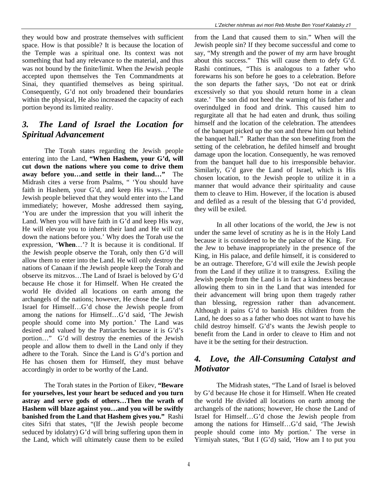they would bow and prostrate themselves with sufficient space. How is that possible? It is because the location of the Temple was a spiritual one. Its context was not something that had any relevance to the material, and thus was not bound by the finite/limit. When the Jewish people accepted upon themselves the Ten Commandments at Sinai, they quantified themselves as being spiritual. Consequently, G'd not only broadened their boundaries within the physical, He also increased the capacity of each portion beyond its limited reality.

#### *3. The Land of Israel the Location for Spiritual Advancement*

The Torah states regarding the Jewish people entering into the Land, **"When Hashem, your G'd, will cut down the nations where you come to drive them away before you…and settle in their land…"** The Midrash cites a verse from Psalms, " 'You should have faith in Hashem, your G'd, and keep His ways…' The Jewish people believed that they would enter into the Land immediately; however, Moshe addressed them saying, 'You are under the impression that you will inherit the Land. When you will have faith in G'd and keep His way, He will elevate you to inherit their land and He will cut down the nations before you.' Why does the Torah use the expression, '**When**…'? It is because it is conditional. If the Jewish people observe the Torah, only then G'd will allow them to enter into the Land. He will only destroy the nations of Canaan if the Jewish people keep the Torah and observe its mitzvos…The Land of Israel is beloved by G'd because He chose it for Himself. When He created the world He divided all locations on earth among the archangels of the nations; however, He chose the Land of Israel for Himself…G'd chose the Jewish people from among the nations for Himself…G'd said, 'The Jewish people should come into My portion.' The Land was desired and valued by the Patriarchs because it is G'd's portion…" G'd will destroy the enemies of the Jewish people and allow them to dwell in the Land only if they adhere to the Torah. Since the Land is G'd's portion and He has chosen them for Himself, they must behave accordingly in order to be worthy of the Land.

The Torah states in the Portion of Eikev, **"Beware for yourselves, lest your heart be seduced and you turn astray and serve gods of others…Then the wrath of Hashem will blaze against you…and you will be swiftly banished from the Land that Hashem gives you."** Rashi cites Sifri that states, "(If the Jewish people become seduced by idolatry) G'd will bring suffering upon them in the Land, which will ultimately cause them to be exiled

from the Land that caused them to sin." When will the Jewish people sin? If they become successful and come to say, "My strength and the power of my arm have brought about this success." This will cause them to defy G'd. Rashi continues, "This is analogous to a father who forewarns his son before he goes to a celebration. Before the son departs the father says, 'Do not eat or drink excessively so that you should return home in a clean state.' The son did not heed the warning of his father and overindulged in food and drink. This caused him to regurgitate all that he had eaten and drunk, thus soiling himself and the location of the celebration. The attendees of the banquet picked up the son and threw him out behind the banquet hall." Rather than the son benefiting from the setting of the celebration, he defiled himself and brought damage upon the location. Consequently, he was removed from the banquet hall due to his irresponsible behavior. Similarly, G'd gave the Land of Israel, which is His chosen location, to the Jewish people to utilize it in a manner that would advance their spirituality and cause them to cleave to Him. However, if the location is abused and defiled as a result of the blessing that G'd provided, they will be exiled.

In all other locations of the world, the Jew is not under the same level of scrutiny as he is in the Holy Land because it is considered to be the palace of the King. For the Jew to behave inappropriately in the presence of the King, in His palace, and defile himself, it is considered to be an outrage. Therefore, G'd will exile the Jewish people from the Land if they utilize it to transgress. Exiling the Jewish people from the Land is in fact a kindness because allowing them to sin in the Land that was intended for their advancement will bring upon them tragedy rather than blessing, regression rather than advancement. Although it pains G'd to banish His children from the Land, he does so as a father who does not want to have his child destroy himself. G'd's wants the Jewish people to benefit from the Land in order to cleave to Him and not have it be the setting for their destruction.

#### *4. Love, the All-Consuming Catalyst and Motivator*

The Midrash states, "The Land of Israel is beloved by G'd because He chose it for Himself. When He created the world He divided all locations on earth among the archangels of the nations; however, He chose the Land of Israel for Himself…G'd chose the Jewish people from among the nations for Himself…G'd said, 'The Jewish people should come into My portion.' The verse in Yirmiyah states, 'But I (G'd) said, 'How am I to put you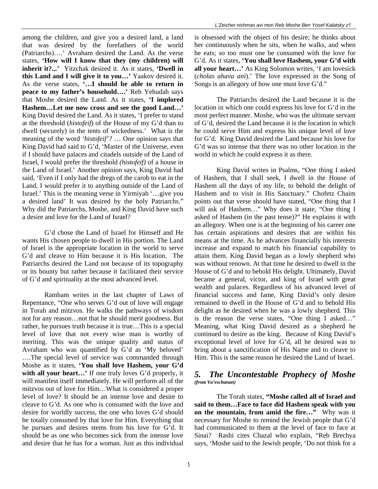among the children, and give you a desired land, a land that was desired by the forefathers of the world (Patriarchs)….' Avraham desired the Land. As the verse states, **'How will I know that they (my children) will inherit it?...'** Yitzchak desired it. As it states, **'Dwell in this Land and I will give it to you…'** Yaakov desired it. As the verse states, **'…I should be able to return in peace to my father's household….'** Reb Yehudah says that Moshe desired the Land. As it states, **'I implored Hashem…Let me now cross and see the good Land…'**  King David desired the Land. As it states, 'I prefer to stand at the threshold (*histofeif*) of the House of my G'd than to dwell (securely) in the tents of wickedness.' What is the meaning of the word *'histofeif'?* … One opinion says that King David had said to G'd, 'Master of the Universe, even if I should have palaces and citadels outside of the Land of Israel, I would prefer the threshold *(histofeif)* of a house in the Land of Israel.' Another opinion says, King David had said, 'Even if I only had the dregs of the carob to eat in the Land, I would prefer it to anything outside of the Land of Israel.' This is the meaning verse in Yirmiyah '…give you a desired land' It was desired by the holy Patriarchs." Why did the Patriarchs, Moshe, and King David have such a desire and love for the Land of Israel?

G'd chose the Land of Israel for Himself and He wants His chosen people to dwell in His portion. The Land of Israel is the appropriate location in the world to serve G'd and cleave to Him because it is His location. The Patriarchs desired the Land not because of its topography or its bounty but rather because it facilitated their service of G'd and spirituality at the most advanced level.

Rambam writes in the last chapter of Laws of Repentance, "One who serves G'd out of love will engage in Torah and mitzvos. He walks the pathways of wisdom not for any reason…not that he should merit goodness. But rather, he pursues truth because it is true…This is a special level of love that not every wise man is worthy of meriting. This was the unique quality and status of Avraham who was quantified by G'd as 'My beloved' ….The special level of service was commanded through Moshe as it states, **'You shall love Hashem, your G'd**  with all your heart...' If one truly loves G'd properly, it will manifest itself immediately. He will perform all of the mitzvos out of love for Him…What is considered a proper level of love? It should be an intense love and desire to cleave to G'd. As one who is consumed with the love and desire for worldly success, the one who loves G'd should be totally consumed by that love for Him. Everything that he pursues and desires stems from his love for G'd. It should be as one who becomes sick from the intense love and desire that he has for a woman. Just as this individual

is obsessed with the object of his desire; he thinks about her continuously when he sits, when he walks, and when he eats; so too must one be consumed with the love for G'd. As it states, **'You shall love Hashem, your G'd with all your heart…'** As King Solomon writes, 'I am lovesick (*cholas ahava ani*).' The love expressed in the Song of Songs is an allegory of how one must love G'd."

The Patriarchs desired the Land because it is the location in which one could express his love for G'd in the most perfect manner. Moshe, who was the ultimate servant of G'd, desired the Land because it is the location in which he could serve Him and express his unique level of love for G'd. King David desired the Land because his love for G'd was so intense that there was no other location in the world in which he could express it as there.

King David writes in Psalms, "One thing I asked of Hashem, that I shall seek, I dwell in the House of Hashem all the days of my life, to behold the delight of Hashem and to visit in His Sanctuary." Chofetz Chaim points out that verse should have stated, "One thing that I will ask of Hashem…" Why does it state, "One thing I asked of Hashem (in the past tense)?" He explains it with an allegory. When one is at the beginning of his career one has certain aspirations and desires that are within his means at the time. As he advances financially his interests increase and expand to match his financial capability to attain them. King David began as a lowly shepherd who was without renown. At that time he desired to dwell in the House of G'd and to behold His delight. Ultimately, David became a general, victor, and king of Israel with great wealth and palaces. Regardless of his advanced level of financial success and fame, King David's only desire remained to dwell in the House of G'd and to behold His delight as he desired when he was a lowly shepherd. This is the reason the verse states, "One thing I asked…" Meaning, what King David desired as a shepherd he continued to desire as the king. Because of King David's exceptional level of love for G'd, all he desired was to bring about a sanctification of His Name and to cleave to Him. This is the same reason he desired the Land of Israel.

#### *5. The Uncontestable Prophecy of Moshe (from Va'eschanan)*

The Torah states, **"Moshe called all of Israel and said to them…Face to face did Hashem speak with you on the mountain, from amid the fire…"** Why was it necessary for Moshe to remind the Jewish people that G'd had communicated to them at the level of face to face at Sinai? Rashi cites Chazal who explain, "Reb Brechya says, 'Moshe said to the Jewish people, 'Do not think for a